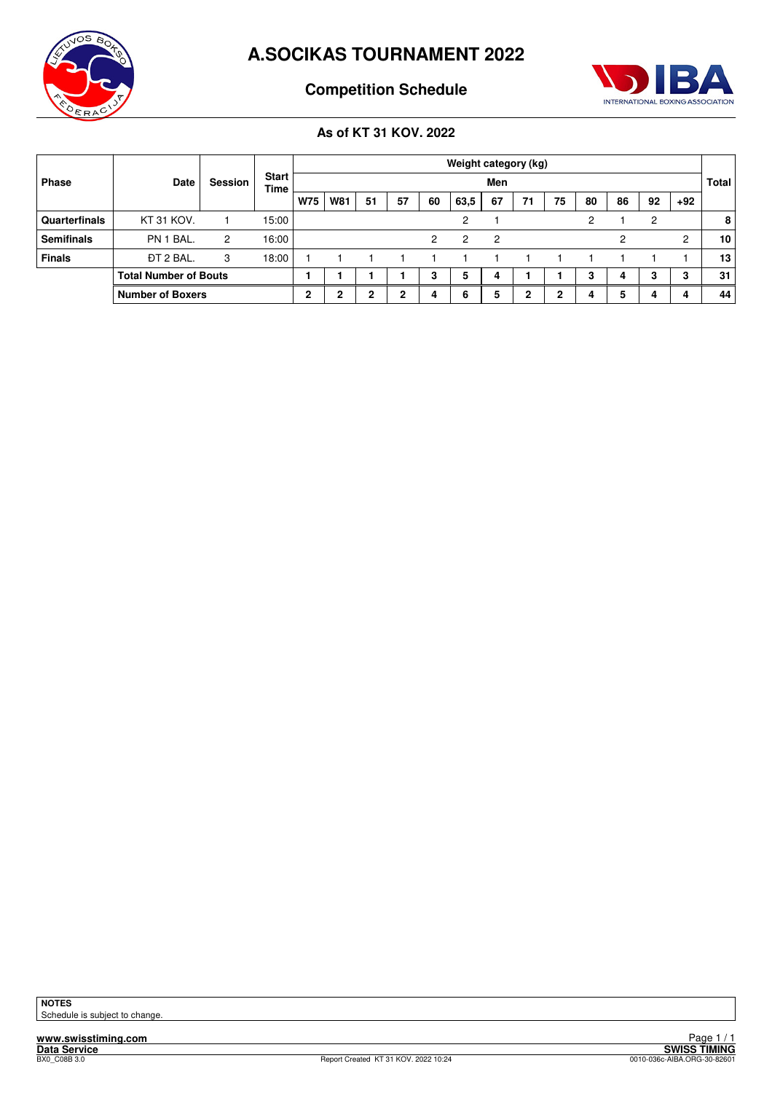



# **Competition Schedule**

## **As of KT 31 KOV. 2022**

|                   | Date                         | Session | <b>Start</b><br><b>Time</b> |            | Weight category (kg) |    |    |    |               |    |    |        |    |    |                |       |                 |
|-------------------|------------------------------|---------|-----------------------------|------------|----------------------|----|----|----|---------------|----|----|--------|----|----|----------------|-------|-----------------|
| Phase             |                              |         |                             |            | Men                  |    |    |    |               |    |    |        |    |    |                |       | <b>Total</b>    |
|                   |                              |         |                             | <b>W75</b> | <b>W81</b>           | 51 | 57 | 60 | 63,5          | 67 | 71 | 75     | 80 | 86 | 92             | $+92$ |                 |
| Quarterfinals     | KT 31 KOV.                   |         | 15:00                       |            |                      |    |    |    | $\mathcal{P}$ |    |    |        | 2  |    | $\overline{c}$ |       | 8               |
| <b>Semifinals</b> | PN 1 BAL.                    | 2       | 16:00                       |            |                      |    |    | 2  | 2             | 2  |    |        |    | 2  |                | 2     | 10 <sup>1</sup> |
| <b>Finals</b>     | <b>DT 2 BAL.</b>             | 3       | 18:00                       |            |                      |    |    |    |               |    |    |        |    |    |                |       | 13              |
|                   | <b>Total Number of Bouts</b> |         |                             |            |                      |    |    | 3  | 5             | 4  |    |        | з  | 4  | 3              | J.    | 31              |
|                   | <b>Number of Boxers</b>      |         |                             | C          | 2                    | 2  | ິ  | 4  | 6             |    | 2  | ົ<br>∠ |    | 5  | 4              |       | 44              |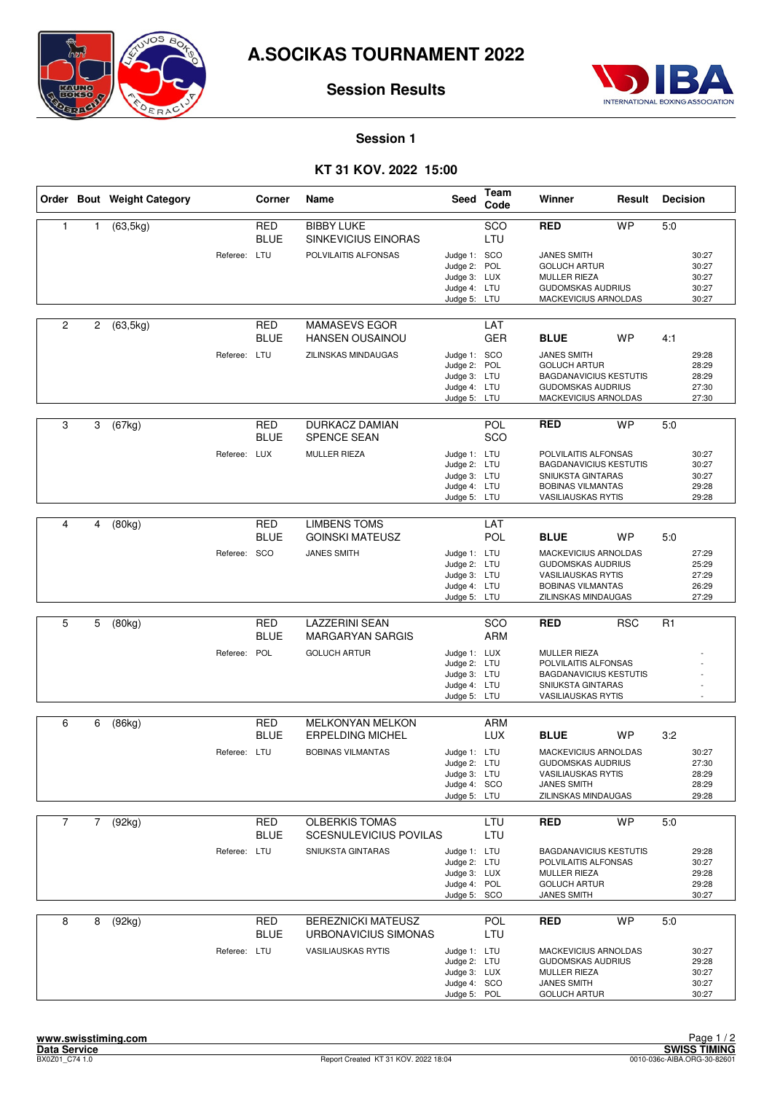

## **Session Results**



#### **Session 1**

## **KT 31 KOV. 2022 15:00**

|                |   | Order Bout Weight Category |              | Corner                    | Name                                              | Seed                                                                         | Team<br>Code      | Winner                                                                                                                           | Result     | <b>Decision</b> |                                           |
|----------------|---|----------------------------|--------------|---------------------------|---------------------------------------------------|------------------------------------------------------------------------------|-------------------|----------------------------------------------------------------------------------------------------------------------------------|------------|-----------------|-------------------------------------------|
| $\mathbf{1}$   | 1 | (63, 5kg)                  |              | <b>RED</b><br><b>BLUE</b> | <b>BIBBY LUKE</b><br>SINKEVICIUS EINORAS          |                                                                              | SCO<br>LTU        | RED                                                                                                                              | <b>WP</b>  | 5.0             |                                           |
|                |   |                            | Referee: LTU |                           | POLVILAITIS ALFONSAS                              | Judge 1: SCO<br>Judge 2: POL<br>Judge 3: LUX<br>Judge 4: LTU<br>Judge 5: LTU |                   | <b>JANES SMITH</b><br><b>GOLUCH ARTUR</b><br><b>MULLER RIEZA</b><br><b>GUDOMSKAS AUDRIUS</b><br>MACKEVICIUS ARNOLDAS             |            |                 | 30:27<br>30:27<br>30:27<br>30:27<br>30:27 |
| 2              | 2 | (63, 5kg)                  |              | <b>RED</b><br><b>BLUE</b> | <b>MAMASEVS EGOR</b><br><b>HANSEN OUSAINOU</b>    |                                                                              | LAT<br><b>GER</b> | <b>BLUE</b>                                                                                                                      | <b>WP</b>  | 4:1             |                                           |
|                |   |                            | Referee: LTU |                           | ZILINSKAS MINDAUGAS                               | Judge 1: SCO<br>Judge 2: POL<br>Judge 3: LTU<br>Judge 4: LTU<br>Judge 5: LTU |                   | <b>JANES SMITH</b><br><b>GOLUCH ARTUR</b><br><b>BAGDANAVICIUS KESTUTIS</b><br><b>GUDOMSKAS AUDRIUS</b><br>MACKEVICIUS ARNOLDAS   |            |                 | 29:28<br>28:29<br>28:29<br>27:30<br>27:30 |
| 3              | 3 | (67kg)                     |              | RED<br><b>BLUE</b>        | <b>DURKACZ DAMIAN</b><br><b>SPENCE SEAN</b>       |                                                                              | POL<br>SCO        | <b>RED</b>                                                                                                                       | <b>WP</b>  | 5:0             |                                           |
|                |   |                            | Referee: LUX |                           | <b>MULLER RIEZA</b>                               | Judge 1: LTU<br>Judge 2: LTU<br>Judge 3: LTU<br>Judge 4: LTU<br>Judge 5: LTU |                   | POLVILAITIS ALFONSAS<br><b>BAGDANAVICIUS KESTUTIS</b><br>SNIUKSTA GINTARAS<br><b>BOBINAS VILMANTAS</b><br>VASILIAUSKAS RYTIS     |            |                 | 30:27<br>30:27<br>30:27<br>29:28<br>29:28 |
| 4              | 4 | (80kg)                     |              | <b>RED</b><br><b>BLUE</b> | <b>LIMBENS TOMS</b><br><b>GOINSKI MATEUSZ</b>     |                                                                              | LAT<br>POL        | <b>BLUE</b>                                                                                                                      | <b>WP</b>  | 5:0             |                                           |
|                |   |                            | Referee: SCO |                           | <b>JANES SMITH</b>                                | Judge 1: LTU<br>Judge 2: LTU<br>Judge 3: LTU<br>Judge 4: LTU<br>Judge 5: LTU |                   | MACKEVICIUS ARNOLDAS<br><b>GUDOMSKAS AUDRIUS</b><br><b>VASILIAUSKAS RYTIS</b><br><b>BOBINAS VILMANTAS</b><br>ZILINSKAS MINDAUGAS |            |                 | 27:29<br>25:29<br>27:29<br>26:29<br>27:29 |
| 5              | 5 | (80kg)                     |              | <b>RED</b>                | <b>LAZZERINI SEAN</b>                             |                                                                              | SCO               | <b>RED</b>                                                                                                                       | <b>RSC</b> | R <sub>1</sub>  |                                           |
|                |   |                            |              | <b>BLUE</b>               | <b>MARGARYAN SARGIS</b>                           |                                                                              | <b>ARM</b>        |                                                                                                                                  |            |                 |                                           |
|                |   |                            | Referee: POL |                           | <b>GOLUCH ARTUR</b>                               | Judge 1: LUX<br>Judge 2: LTU<br>Judge 3: LTU<br>Judge 4: LTU<br>Judge 5: LTU |                   | <b>MULLER RIEZA</b><br>POLVILAITIS ALFONSAS<br><b>BAGDANAVICIUS KESTUTIS</b><br>SNIUKSTA GINTARAS<br><b>VASILIAUSKAS RYTIS</b>   |            |                 |                                           |
| 6              | 6 | (86kg)                     |              | RED                       | <b>MELKONYAN MELKON</b>                           |                                                                              | ARM               |                                                                                                                                  |            |                 |                                           |
|                |   |                            |              | <b>BLUE</b>               | <b>ERPELDING MICHEL</b>                           |                                                                              | <b>LUX</b>        | <b>BLUE</b>                                                                                                                      | <b>WP</b>  | 3:2             |                                           |
|                |   |                            | Referee: LTU |                           | <b>BOBINAS VILMANTAS</b>                          | Judge 1: LTU<br>Judge 2: LTU<br>Judge 3: LTU<br>Judge 4: SCO<br>Judge 5: LTU |                   | MACKEVICIUS ARNOLDAS<br><b>GUDOMSKAS AUDRIUS</b><br><b>VASILIAUSKAS RYTIS</b><br><b>JANES SMITH</b><br>ZILINSKAS MINDAUGAS       |            |                 | 30:27<br>27:30<br>28:29<br>28:29<br>29:28 |
| $\overline{7}$ | 7 | (92kg)                     |              | RED                       | <b>OLBERKIS TOMAS</b>                             |                                                                              | LTU               | <b>RED</b>                                                                                                                       | <b>WP</b>  | 5:0             |                                           |
|                |   |                            |              | <b>BLUE</b>               | SCESNULEVICIUS POVILAS                            |                                                                              | LTU               |                                                                                                                                  |            |                 |                                           |
|                |   |                            | Referee: LTU |                           | SNIUKSTA GINTARAS                                 | Judge 1: LTU<br>Judge 2: LTU<br>Judge 3: LUX<br>Judge 4: POL<br>Judge 5: SCO |                   | <b>BAGDANAVICIUS KESTUTIS</b><br>POLVILAITIS ALFONSAS<br><b>MULLER RIEZA</b><br><b>GOLUCH ARTUR</b><br>JANES SMITH               |            |                 | 29:28<br>30:27<br>29:28<br>29:28<br>30:27 |
| 8              | 8 | (92kg)                     |              | RED                       | <b>BEREZNICKI MATEUSZ</b>                         |                                                                              | <b>POL</b>        | <b>RED</b>                                                                                                                       | <b>WP</b>  | 5:0             |                                           |
|                |   |                            | Referee: LTU | <b>BLUE</b>               | URBONAVICIUS SIMONAS<br><b>VASILIAUSKAS RYTIS</b> | Judge 1: LTU<br>Judge 2: LTU<br>Judge 3: LUX<br>Judge 4: SCO<br>Judge 5: POL | LTU               | MACKEVICIUS ARNOLDAS<br><b>GUDOMSKAS AUDRIUS</b><br><b>MULLER RIEZA</b><br><b>JANES SMITH</b><br><b>GOLUCH ARTUR</b>             |            |                 | 30:27<br>29:28<br>30:27<br>30:27<br>30:27 |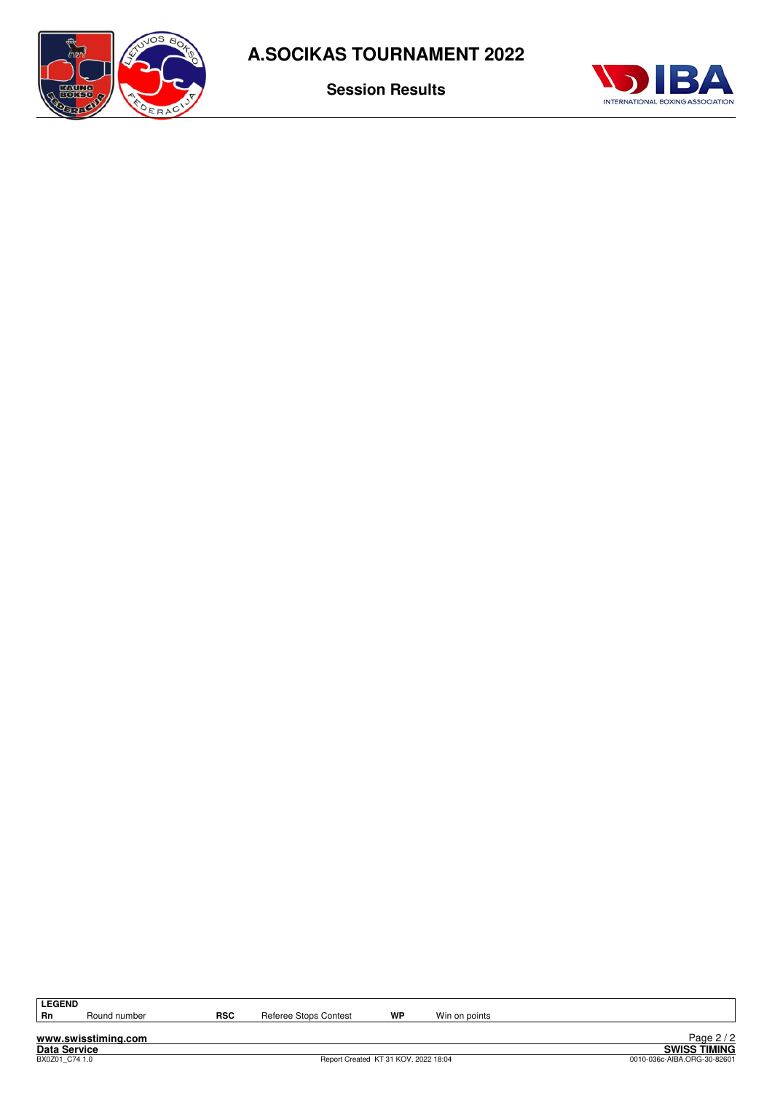

**Session Results**



LEGEND<br>Rn

Round number **RSC** Referee Stops Contest **WP** Win on points

**www.swisstiming.com**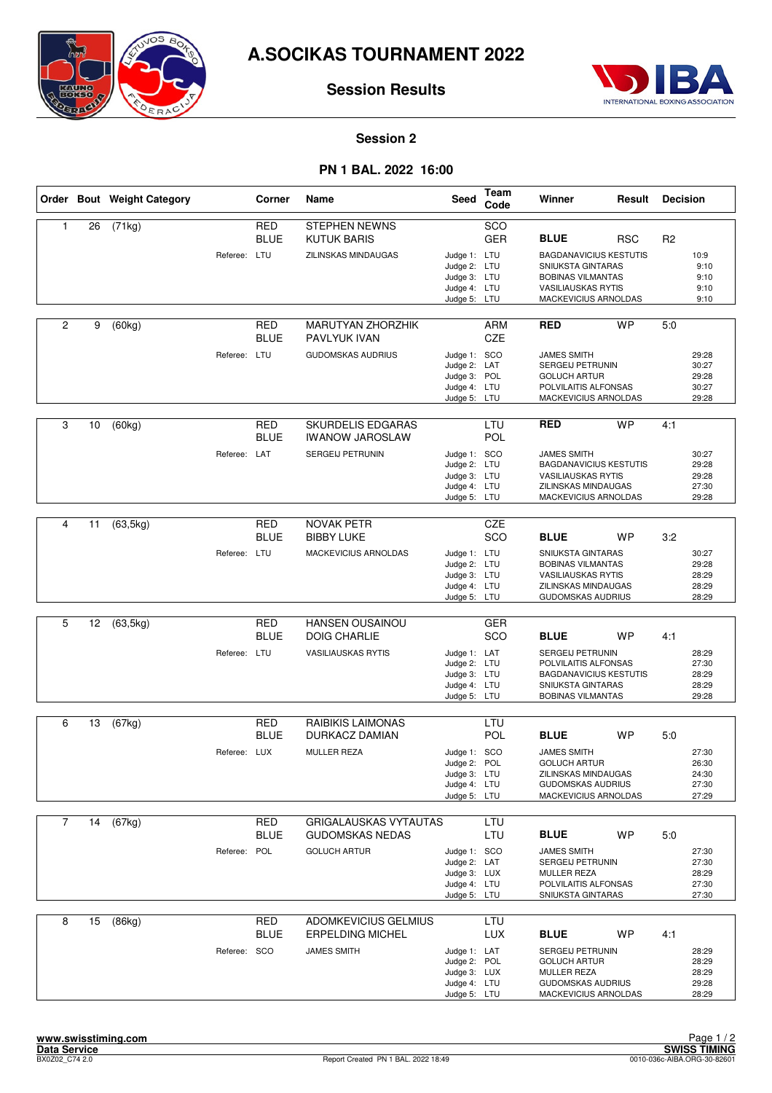



## **Session Results**

#### **Session 2**

## **PN 1 BAL. 2022 16:00**

|                |    | Order Bout Weight Category |              | Corner                    | Name                                                                          | Seed                                                                                         | Team<br>Code      | Winner                                                                                                                                                                | Result     | <b>Decision</b> |                                                    |
|----------------|----|----------------------------|--------------|---------------------------|-------------------------------------------------------------------------------|----------------------------------------------------------------------------------------------|-------------------|-----------------------------------------------------------------------------------------------------------------------------------------------------------------------|------------|-----------------|----------------------------------------------------|
| 1              | 26 | (71kg)                     | Referee: LTU | RED<br><b>BLUE</b>        | <b>STEPHEN NEWNS</b><br><b>KUTUK BARIS</b><br>ZILINSKAS MINDAUGAS             | Judge 1: LTU<br>Judge 2: LTU<br>Judge 3: LTU<br>Judge 4: LTU<br>Judge 5: LTU                 | SCO<br><b>GER</b> | <b>BLUE</b><br><b>BAGDANAVICIUS KESTUTIS</b><br>SNIUKSTA GINTARAS<br><b>BOBINAS VILMANTAS</b><br><b>VASILIAUSKAS RYTIS</b><br>MACKEVICIUS ARNOLDAS                    | <b>RSC</b> | R <sub>2</sub>  | 10:9<br>9:10<br>9:10<br>9:10<br>9:10               |
| $\overline{2}$ | 9  | (60kg)                     | Referee: LTU | RED<br><b>BLUE</b>        | <b>MARUTYAN ZHORZHIK</b><br>PAVLYUK IVAN<br><b>GUDOMSKAS AUDRIUS</b>          | Judge 1: SCO<br>Judge 2: LAT<br>Judge 3: POL<br>Judge 4: LTU                                 | ARM<br>CZE        | <b>RED</b><br><b>JAMES SMITH</b><br>SERGEIJ PETRUNIN<br><b>GOLUCH ARTUR</b><br>POLVILAITIS ALFONSAS                                                                   | <b>WP</b>  | 5.0             | 29:28<br>30:27<br>29:28<br>30:27                   |
| 3              | 10 | (60kg)                     | Referee: LAT | RED<br><b>BLUE</b>        | SKURDELIS EDGARAS<br><b>IWANOW JAROSLAW</b><br>SERGEIJ PETRUNIN               | Judge 5: LTU<br>Judge 1: SCO<br>Judge 2: LTU<br>Judge 3: LTU<br>Judge 4: LTU<br>Judge 5: LTU | LTU<br>POL        | MACKEVICIUS ARNOLDAS<br><b>RED</b><br><b>JAMES SMITH</b><br><b>BAGDANAVICIUS KESTUTIS</b><br><b>VASILIAUSKAS RYTIS</b><br>ZILINSKAS MINDAUGAS<br>MACKEVICIUS ARNOLDAS | <b>WP</b>  | 4:1             | 29:28<br>30:27<br>29:28<br>29:28<br>27:30<br>29:28 |
| 4              | 11 | (63, 5kg)                  | Referee: LTU | <b>RED</b><br><b>BLUE</b> | <b>NOVAK PETR</b><br><b>BIBBY LUKE</b><br>MACKEVICIUS ARNOLDAS                | Judge 1: LTU<br>Judge 2: LTU<br>Judge 3: LTU<br>Judge 4: LTU<br>Judge 5: LTU                 | CZE<br>SCO        | <b>BLUE</b><br>SNIUKSTA GINTARAS<br><b>BOBINAS VILMANTAS</b><br><b>VASILIAUSKAS RYTIS</b><br>ZILINSKAS MINDAUGAS<br><b>GUDOMSKAS AUDRIUS</b>                          | <b>WP</b>  | 3:2             | 30:27<br>29:28<br>28:29<br>28:29<br>28:29          |
| 5              | 12 | (63, 5kg)                  | Referee: LTU | <b>RED</b><br><b>BLUE</b> | <b>HANSEN OUSAINOU</b><br><b>DOIG CHARLIE</b><br><b>VASILIAUSKAS RYTIS</b>    | Judge 1: LAT<br>Judge 2: LTU<br>Judge 3: LTU<br>Judge 4: LTU<br>Judge 5: LTU                 | <b>GER</b><br>SCO | <b>BLUE</b><br>SERGEIJ PETRUNIN<br>POLVILAITIS ALFONSAS<br><b>BAGDANAVICIUS KESTUTIS</b><br>SNIUKSTA GINTARAS<br><b>BOBINAS VILMANTAS</b>                             | <b>WP</b>  | 4:1             | 28:29<br>27:30<br>28:29<br>28:29<br>29:28          |
| 6              | 13 | (67kg)                     | Referee: LUX | RED<br><b>BLUE</b>        | RAIBIKIS LAIMONAS<br>DURKACZ DAMIAN<br><b>MULLER REZA</b>                     | Judge 1: SCO<br>Judge 2: POL<br>Judge 3: LTU<br>Judge 4: LTU<br>Judge 5: LTU                 | LTU<br><b>POL</b> | <b>BLUE</b><br><b>JAMES SMITH</b><br><b>GOLUCH ARTUR</b><br>ZILINSKAS MINDAUGAS<br><b>GUDOMSKAS AUDRIUS</b><br>MACKEVICIUS ARNOLDAS                                   | <b>WP</b>  | 5:0             | 27:30<br>26:30<br>24:30<br>27:30<br>27:29          |
| $\overline{7}$ | 14 | (67kg)                     | Referee: POL | RED<br><b>BLUE</b>        | <b>GRIGALAUSKAS VYTAUTAS</b><br><b>GUDOMSKAS NEDAS</b><br><b>GOLUCH ARTUR</b> | Judge 1: SCO<br>Judge 2: LAT<br>Judge 3: LUX<br>Judge 4: LTU<br>Judge 5: LTU                 | LTU<br>LTU        | <b>BLUE</b><br><b>JAMES SMITH</b><br>SERGEIJ PETRUNIN<br>MULLER REZA<br>POLVILAITIS ALFONSAS<br>SNIUKSTA GINTARAS                                                     | <b>WP</b>  | 5:0             | 27:30<br>27:30<br>28:29<br>27:30<br>27:30          |
| 8              | 15 | (86kg)                     | Referee: SCO | <b>RED</b><br><b>BLUE</b> | <b>ADOMKEVICIUS GELMIUS</b><br><b>ERPELDING MICHEL</b><br><b>JAMES SMITH</b>  | Judge 1: LAT<br>Judge 2: POL<br>Judge 3: LUX<br>Judge 4: LTU<br>Judge 5: LTU                 | LTU<br><b>LUX</b> | <b>BLUE</b><br>SERGEIJ PETRUNIN<br><b>GOLUCH ARTUR</b><br>MULLER REZA<br><b>GUDOMSKAS AUDRIUS</b><br>MACKEVICIUS ARNOLDAS                                             | <b>WP</b>  | 4:1             | 28:29<br>28:29<br>28:29<br>29:28<br>28:29          |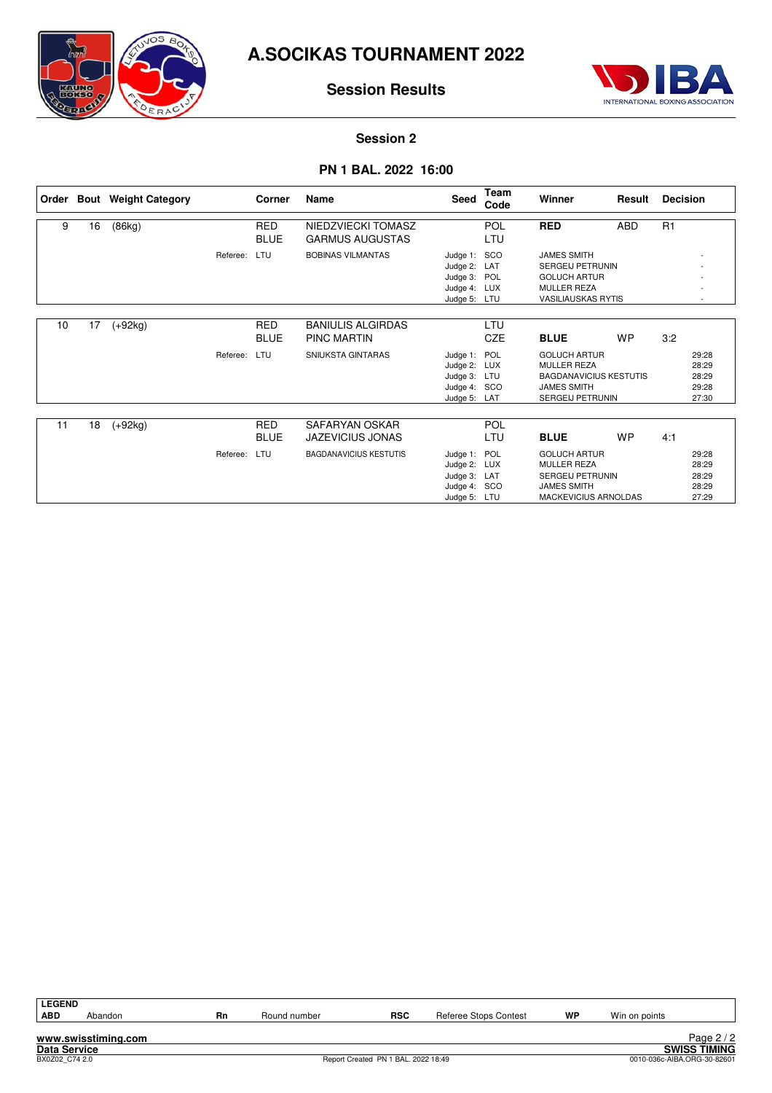

## **Session Results**



#### **Session 2**

#### **PN 1 BAL. 2022 16:00**

| Order |    | <b>Bout</b> Weight Category |          | Corner                    | Name                                           | Seed                                                                         | <b>Team</b><br>Code | Winner                                                                                                                      | Result     | <b>Decision</b> |                                           |
|-------|----|-----------------------------|----------|---------------------------|------------------------------------------------|------------------------------------------------------------------------------|---------------------|-----------------------------------------------------------------------------------------------------------------------------|------------|-----------------|-------------------------------------------|
| 9     | 16 | (86kg)                      |          | <b>RED</b><br><b>BLUE</b> | NIEDZVIECKI TOMASZ<br><b>GARMUS AUGUSTAS</b>   |                                                                              | POL<br>LTU          | <b>RED</b>                                                                                                                  | <b>ABD</b> | R1              |                                           |
|       |    |                             | Referee: | LTU                       | <b>BOBINAS VILMANTAS</b>                       | Judge 1: SCO<br>Judge 2: LAT<br>Judge 3: POL<br>Judge 4: LUX<br>Judge 5: LTU |                     | <b>JAMES SMITH</b><br><b>SERGEIJ PETRUNIN</b><br><b>GOLUCH ARTUR</b><br><b>MULLER REZA</b><br><b>VASILIAUSKAS RYTIS</b>     |            |                 |                                           |
| 10    | 17 | $(+92kg)$                   |          | <b>RED</b><br><b>BLUE</b> | <b>BANIULIS ALGIRDAS</b><br><b>PINC MARTIN</b> |                                                                              | LTU<br><b>CZE</b>   | <b>BLUE</b>                                                                                                                 | <b>WP</b>  | 3:2             |                                           |
|       |    |                             | Referee: | LTU                       | SNIUKSTA GINTARAS                              | Judge 1: POL<br>Judge 2: LUX<br>Judge 3: LTU<br>Judge 4: SCO<br>Judge 5: LAT |                     | <b>GOLUCH ARTUR</b><br><b>MULLER REZA</b><br><b>BAGDANAVICIUS KESTUTIS</b><br><b>JAMES SMITH</b><br><b>SERGEIJ PETRUNIN</b> |            |                 | 29:28<br>28:29<br>28:29<br>29:28<br>27:30 |
| 11    | 18 | $(+92kg)$                   |          | <b>RED</b><br><b>BLUE</b> | SAFARYAN OSKAR<br><b>JAZEVICIUS JONAS</b>      |                                                                              | <b>POL</b><br>LTU   | <b>BLUE</b>                                                                                                                 | <b>WP</b>  | 4:1             |                                           |
|       |    |                             | Referee: | LTU                       | <b>BAGDANAVICIUS KESTUTIS</b>                  | Judge 1: POL<br>Judge 2: LUX<br>Judge 3: LAT<br>Judge 4: SCO<br>Judge 5: LTU |                     | <b>GOLUCH ARTUR</b><br><b>MULLER REZA</b><br><b>SERGEIJ PETRUNIN</b><br><b>JAMES SMITH</b><br>MACKEVICIUS ARNOLDAS          |            |                 | 29:28<br>28:29<br>28:29<br>28:29<br>27:29 |

| <b>LEGEND</b>       |                     |    |              |                                     |                       |    |               |                             |
|---------------------|---------------------|----|--------------|-------------------------------------|-----------------------|----|---------------|-----------------------------|
| <b>ABD</b>          | Abandon             | Rn | Round number | <b>RSC</b>                          | Referee Stops Contest | WP | Win on points |                             |
|                     |                     |    |              |                                     |                       |    |               |                             |
|                     | www.swisstiming.com |    |              |                                     |                       |    |               | Page $2/2$                  |
| <b>Data Service</b> |                     |    |              |                                     |                       |    |               | <b>SWISS TIMING</b>         |
| BX0Z02 C74 2.0      |                     |    |              | Report Created PN 1 BAL. 2022 18:49 |                       |    |               | 0010-036c-AIBA.ORG-30-82601 |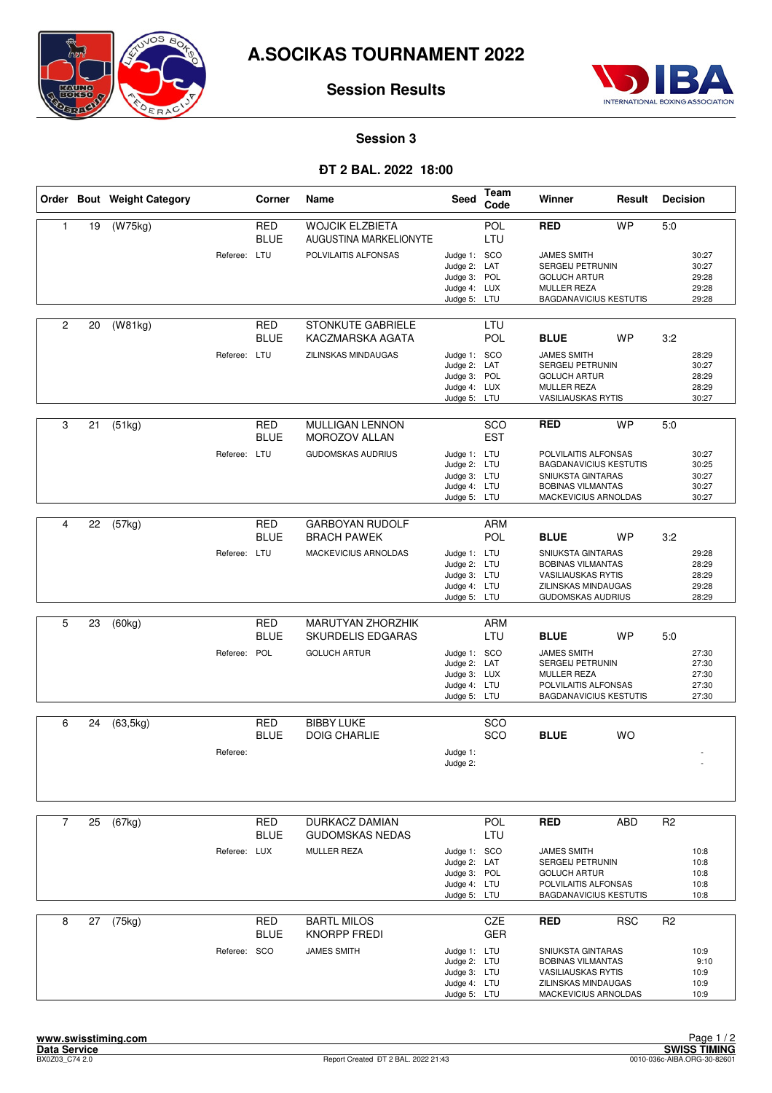

## **Session Results**



#### **Session 3**

## **ÐT 2 BAL. 2022 18:00**

|                |    | Order Bout Weight Category |              | Corner                    | Name                                             | Seed                                                                         | <b>Team</b><br>Code | Winner                                                                                                                         | Result     | <b>Decision</b> |                                           |
|----------------|----|----------------------------|--------------|---------------------------|--------------------------------------------------|------------------------------------------------------------------------------|---------------------|--------------------------------------------------------------------------------------------------------------------------------|------------|-----------------|-------------------------------------------|
| $\mathbf{1}$   | 19 | (W75kg)                    |              | <b>RED</b><br><b>BLUE</b> | <b>WOJCIK ELZBIETA</b><br>AUGUSTINA MARKELIONYTE |                                                                              | POL<br>LTU          | <b>RED</b>                                                                                                                     | <b>WP</b>  | 5.0             |                                           |
|                |    |                            | Referee: LTU |                           | POLVILAITIS ALFONSAS                             | Judge 1: SCO<br>Judge 2: LAT<br>Judge 3: POL<br>Judge 4: LUX<br>Judge 5: LTU |                     | <b>JAMES SMITH</b><br>SERGEIJ PETRUNIN<br><b>GOLUCH ARTUR</b><br>MULLER REZA<br><b>BAGDANAVICIUS KESTUTIS</b>                  |            |                 | 30:27<br>30:27<br>29:28<br>29:28<br>29:28 |
| $\overline{2}$ | 20 | (W81kg)                    |              | RED<br><b>BLUE</b>        | <b>STONKUTE GABRIELE</b><br>KACZMARSKA AGATA     |                                                                              | LTU<br>POL          | <b>BLUE</b>                                                                                                                    | <b>WP</b>  | 3:2             |                                           |
|                |    |                            | Referee: LTU |                           | <b>ZILINSKAS MINDAUGAS</b>                       | Judge 1: SCO<br>Judge 2: LAT<br>Judge 3: POL<br>Judge 4: LUX<br>Judge 5: LTU |                     | <b>JAMES SMITH</b><br>SERGEIJ PETRUNIN<br><b>GOLUCH ARTUR</b><br><b>MULLER REZA</b><br>VASILIAUSKAS RYTIS                      |            |                 | 28:29<br>30:27<br>28:29<br>28:29<br>30:27 |
| 3              | 21 | (51kg)                     |              | <b>RED</b><br><b>BLUE</b> | <b>MULLIGAN LENNON</b><br><b>MOROZOV ALLAN</b>   |                                                                              | SCO<br><b>EST</b>   | <b>RED</b>                                                                                                                     | <b>WP</b>  | 5:0             |                                           |
|                |    |                            | Referee: LTU |                           | <b>GUDOMSKAS AUDRIUS</b>                         | Judge 1: LTU<br>Judge 2: LTU<br>Judge 3: LTU<br>Judge 4: LTU<br>Judge 5: LTU |                     | POLVILAITIS ALFONSAS<br><b>BAGDANAVICIUS KESTUTIS</b><br>SNIUKSTA GINTARAS<br><b>BOBINAS VILMANTAS</b><br>MACKEVICIUS ARNOLDAS |            |                 | 30:27<br>30:25<br>30:27<br>30:27<br>30:27 |
| 4              | 22 | (57kg)                     |              | <b>RED</b>                | <b>GARBOYAN RUDOLF</b>                           |                                                                              | <b>ARM</b>          |                                                                                                                                |            |                 |                                           |
|                |    |                            |              | <b>BLUE</b>               | <b>BRACH PAWEK</b>                               |                                                                              | POL                 | <b>BLUE</b>                                                                                                                    | <b>WP</b>  | 3:2             |                                           |
|                |    |                            | Referee: LTU |                           | MACKEVICIUS ARNOLDAS                             | Judge 1: LTU<br>Judge 2: LTU<br>Judge 3: LTU<br>Judge 4: LTU<br>Judge 5: LTU |                     | SNIUKSTA GINTARAS<br><b>BOBINAS VILMANTAS</b><br><b>VASILIAUSKAS RYTIS</b><br>ZILINSKAS MINDAUGAS<br>GUDOMSKAS AUDRIUS         |            |                 | 29:28<br>28:29<br>28:29<br>29:28<br>28:29 |
| 5              | 23 | (60kg)                     |              | <b>RED</b>                | MARUTYAN ZHORZHIK                                |                                                                              | <b>ARM</b>          |                                                                                                                                |            |                 |                                           |
|                |    |                            |              | <b>BLUE</b>               | <b>SKURDELIS EDGARAS</b>                         |                                                                              | LTU                 | <b>BLUE</b>                                                                                                                    | <b>WP</b>  | 5.0             |                                           |
|                |    |                            | Referee: POL |                           | <b>GOLUCH ARTUR</b>                              | Judge 1: SCO<br>Judge 2: LAT<br>Judge 3: LUX<br>Judge 4: LTU<br>Judge 5: LTU |                     | <b>JAMES SMITH</b><br>SERGEIJ PETRUNIN<br><b>MULLER REZA</b><br>POLVILAITIS ALFONSAS<br><b>BAGDANAVICIUS KESTUTIS</b>          |            |                 | 27:30<br>27:30<br>27:30<br>27:30<br>27:30 |
| 6              | 24 | (63, 5kg)                  |              | <b>RED</b>                | <b>BIBBY LUKE</b>                                |                                                                              | SCO                 |                                                                                                                                |            |                 |                                           |
|                |    |                            | Referee:     | <b>BLUE</b>               | <b>DOIG CHARLIE</b>                              | Judge 1:<br>Judge 2:                                                         | SCO                 | <b>BLUE</b>                                                                                                                    | <b>WO</b>  |                 |                                           |
|                |    |                            |              |                           |                                                  |                                                                              |                     |                                                                                                                                |            |                 |                                           |
| $\overline{7}$ | 25 | (67kg)                     |              | <b>RED</b><br><b>BLUE</b> | <b>DURKACZ DAMIAN</b><br><b>GUDOMSKAS NEDAS</b>  |                                                                              | <b>POL</b><br>LTU   | <b>RED</b>                                                                                                                     | ABD        | R <sub>2</sub>  |                                           |
|                |    |                            | Referee: LUX |                           | <b>MULLER REZA</b>                               | Judge 1: SCO<br>Judge 2: LAT<br>Judge 3: POL<br>Judge 4: LTU<br>Judge 5: LTU |                     | <b>JAMES SMITH</b><br>SERGEIJ PETRUNIN<br><b>GOLUCH ARTUR</b><br>POLVILAITIS ALFONSAS<br><b>BAGDANAVICIUS KESTUTIS</b>         |            |                 | 10:8<br>10:8<br>10:8<br>10:8<br>10:8      |
| 8              | 27 | (75kg)                     |              | <b>RED</b>                | <b>BARTL MILOS</b>                               |                                                                              | <b>CZE</b>          | <b>RED</b>                                                                                                                     | <b>RSC</b> | R <sub>2</sub>  |                                           |
|                |    |                            | Referee: SCO | <b>BLUE</b>               | KNORPP FREDI<br><b>JAMES SMITH</b>               | Judge 1: LTU<br>Judge 2: LTU<br>Judge 3: LTU<br>Judge 4: LTU<br>Judge 5: LTU | <b>GER</b>          | SNIUKSTA GINTARAS<br><b>BOBINAS VILMANTAS</b><br><b>VASILIAUSKAS RYTIS</b><br>ZILINSKAS MINDAUGAS<br>MACKEVICIUS ARNOLDAS      |            |                 | 10:9<br>9:10<br>10:9<br>10:9<br>10:9      |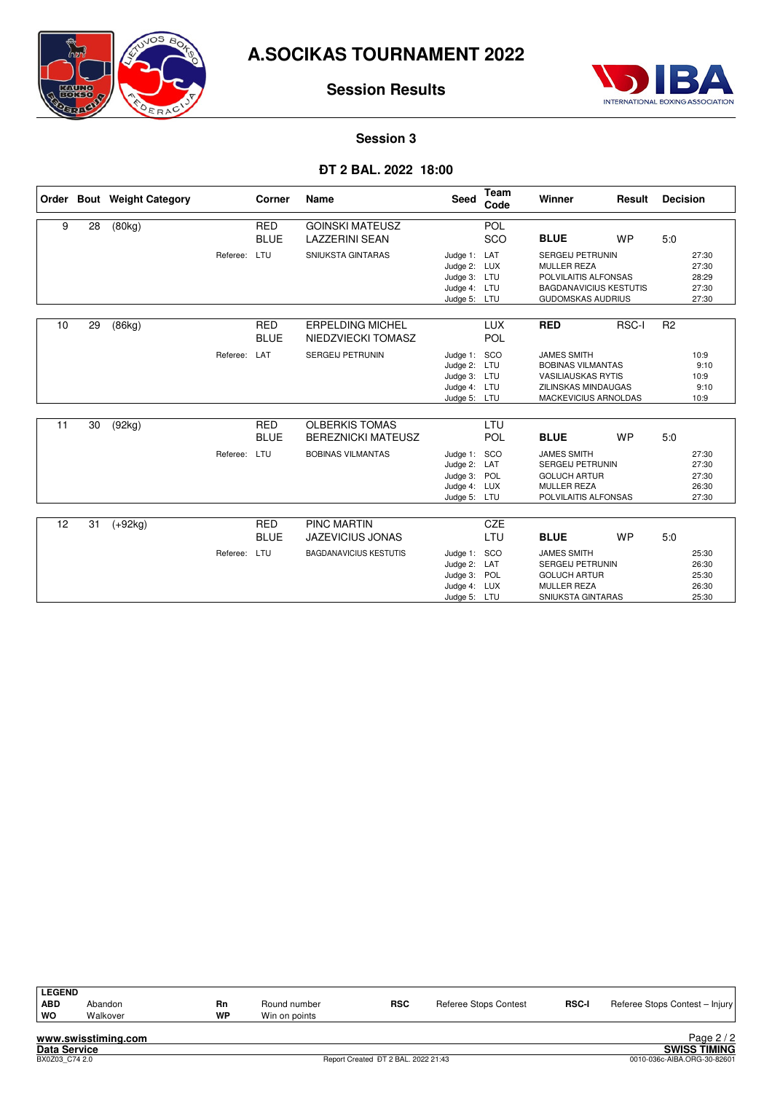

## **Session Results**



# **Session 3**

#### **ÐT 2 BAL. 2022 18:00**

|    |    | Order Bout Weight Category |              | Corner                    | <b>Name</b>                                        | <b>Seed</b>                                                                  | <b>Team</b><br>Code | Winner                                                                                                                             | Result    | <b>Decision</b> |                                           |
|----|----|----------------------------|--------------|---------------------------|----------------------------------------------------|------------------------------------------------------------------------------|---------------------|------------------------------------------------------------------------------------------------------------------------------------|-----------|-----------------|-------------------------------------------|
| 9  | 28 | (80kg)                     |              | <b>RED</b><br><b>BLUE</b> | <b>GOINSKI MATEUSZ</b><br><b>LAZZERINI SEAN</b>    |                                                                              | POL<br>SCO          | <b>BLUE</b>                                                                                                                        | <b>WP</b> | 5.0             |                                           |
|    |    |                            | Referee:     | LTU                       | SNIUKSTA GINTARAS                                  | Judge 1:<br>Judge 2: LUX<br>Judge 3: LTU<br>Judge 4: LTU<br>Judge 5: LTU     | LAT                 | <b>SERGEIJ PETRUNIN</b><br><b>MULLER REZA</b><br>POLVILAITIS ALFONSAS<br><b>BAGDANAVICIUS KESTUTIS</b><br><b>GUDOMSKAS AUDRIUS</b> |           |                 | 27:30<br>27:30<br>28:29<br>27:30<br>27:30 |
| 10 | 29 | (86kg)                     |              | <b>RED</b><br><b>BLUE</b> | <b>ERPELDING MICHEL</b><br>NIEDZVIECKI TOMASZ      |                                                                              | <b>LUX</b><br>POL   | <b>RED</b>                                                                                                                         | RSC-I     | R <sub>2</sub>  |                                           |
|    |    |                            | Referee:     | LAT                       | SERGEIJ PETRUNIN                                   | Judge 1: SCO<br>Judge 2: LTU<br>Judge 3: LTU<br>Judge 4: LTU<br>Judge 5: LTU |                     | <b>JAMES SMITH</b><br><b>BOBINAS VILMANTAS</b><br><b>VASILIAUSKAS RYTIS</b><br><b>ZILINSKAS MINDAUGAS</b><br>MACKEVICIUS ARNOLDAS  |           |                 | 10:9<br>9:10<br>10:9<br>9:10<br>10:9      |
| 11 | 30 | (92kg)                     |              | <b>RED</b><br><b>BLUE</b> | <b>OLBERKIS TOMAS</b><br><b>BEREZNICKI MATEUSZ</b> |                                                                              | LTU<br>POL          | <b>BLUE</b>                                                                                                                        | <b>WP</b> | 5.0             |                                           |
|    |    |                            | Referee:     | LTU                       | <b>BOBINAS VILMANTAS</b>                           | Judge 1:<br>Judge 2: LAT<br>Judge 3: POL<br>Judge 4: LUX<br>Judge 5: LTU     | <b>SCO</b>          | <b>JAMES SMITH</b><br>SERGEIJ PETRUNIN<br><b>GOLUCH ARTUR</b><br><b>MULLER REZA</b><br>POLVILAITIS ALFONSAS                        |           |                 | 27:30<br>27:30<br>27:30<br>26:30<br>27:30 |
| 12 | 31 | $(+92kg)$                  |              | <b>RED</b>                | <b>PINC MARTIN</b>                                 |                                                                              | <b>CZE</b>          |                                                                                                                                    |           |                 |                                           |
|    |    |                            |              | <b>BLUE</b>               | <b>JAZEVICIUS JONAS</b>                            |                                                                              | LTU                 | <b>BLUE</b>                                                                                                                        | <b>WP</b> | 5.0             |                                           |
|    |    |                            | Referee: LTU |                           | <b>BAGDANAVICIUS KESTUTIS</b>                      | Judge 1: SCO<br>Judge 2: LAT<br>Judge 3: POL<br>Judge 4: LUX<br>Judge 5: LTU |                     | <b>JAMES SMITH</b><br>SERGEIJ PETRUNIN<br><b>GOLUCH ARTUR</b><br><b>MULLER REZA</b><br>SNIUKSTA GINTARAS                           |           |                 | 25:30<br>26:30<br>25:30<br>26:30<br>25:30 |

| Referee Stops Contest - Injury |
|--------------------------------|
|                                |
|                                |